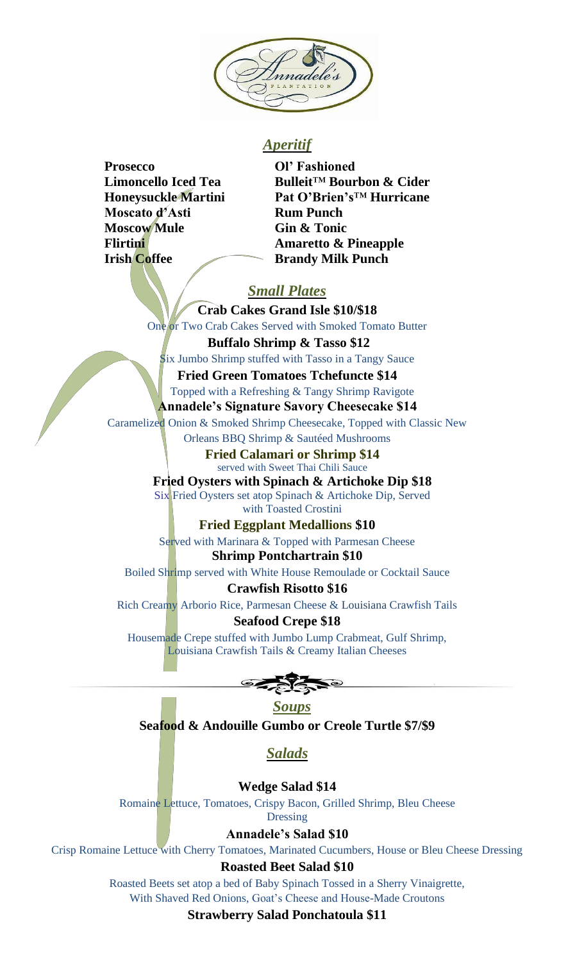

# *Aperitif*

- **Prosecco Ol' Fashioned Moscato d'Asti Rum Punch Moscow Mule Gin & Tonic Irish Coffee Brandy Milk Punch**
- **Limoncello Iced Tea Bulleit**™ **Bourbon & Cider Honeysuckle Martini Pat O'Brien's**™ **Hurricane Flirtini Amaretto & Pineapple**

# *Small Plates*

**Crab Cakes Grand Isle \$10/\$18** One or Two Crab Cakes Served with Smoked Tomato Butter

**Buffalo Shrimp & Tasso \$12** Six Jumbo Shrimp stuffed with Tasso in a Tangy Sauce **Fried Green Tomatoes Tchefuncte \$14**

Topped with a Refreshing & Tangy Shrimp Ravigote **Annadele's Signature Savory Cheesecake \$14** Caramelized Onion & Smoked Shrimp Cheesecake, Topped with Classic New Orleans BBQ Shrimp & Sautéed Mushrooms

**Fried Calamari or Shrimp \$14** served with Sweet Thai Chili Sauce

**Fried Oysters with Spinach & Artichoke Dip \$18** Six Fried Oysters set atop Spinach & Artichoke Dip, Served with Toasted Crostini

**Fried Eggplant Medallions \$10**

Served with Marinara & Topped with Parmesan Cheese **Shrimp Pontchartrain \$10**

Boiled Shrimp served with White House Remoulade or Cocktail Sauce

## **Crawfish Risotto \$16**

Rich Creamy Arborio Rice, Parmesan Cheese & Louisiana Crawfish Tails

## **Seafood Crepe \$18**

Housemade Crepe stuffed with Jumbo Lump Crabmeat, Gulf Shrimp, Louisiana Crawfish Tails & Creamy Italian Cheeses

*Soups* **Seafood & Andouille Gumbo or Creole Turtle \$7/\$9**

# *Salads*

**Wedge Salad \$14**

Romaine Lettuce, Tomatoes, Crispy Bacon, Grilled Shrimp, Bleu Cheese

Dressing

**Annadele's Salad \$10**

Crisp Romaine Lettuce with Cherry Tomatoes, Marinated Cucumbers, House or Bleu Cheese Dressing

## **Roasted Beet Salad \$10**

Roasted Beets set atop a bed of Baby Spinach Tossed in a Sherry Vinaigrette, With Shaved Red Onions, Goat's Cheese and House-Made Croutons

**Strawberry Salad Ponchatoula \$11**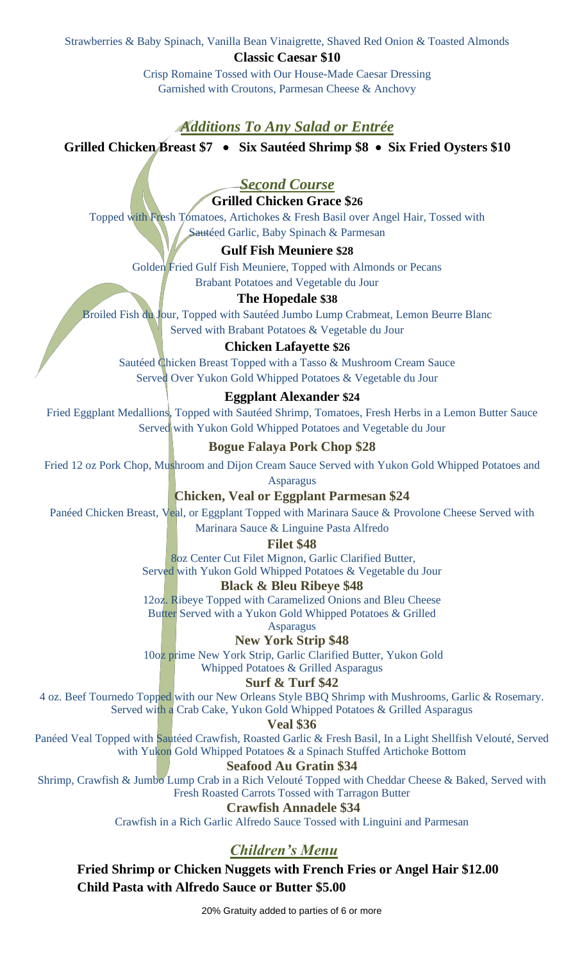Strawberries & Baby Spinach, Vanilla Bean Vinaigrette, Shaved Red Onion & Toasted Almonds

**Classic Caesar \$10**

Crisp Romaine Tossed with Our House-Made Caesar Dressing Garnished with Croutons, Parmesan Cheese & Anchovy

## *Additions To Any Salad or Entrée*

**Grilled Chicken Breast \$7** • **Six Sautéed Shrimp \$8** • **Six Fried Oysters \$10**

# *Second Course*

## **Grilled Chicken Grace \$26**

Topped with Fresh Tomatoes, Artichokes & Fresh Basil over Angel Hair, Tossed with Sautéed Garlic, Baby Spinach & Parmesan

### **Gulf Fish Meuniere \$28**

Golden Fried Gulf Fish Meuniere, Topped with Almonds or Pecans Brabant Potatoes and Vegetable du Jour

### **The Hopedale \$38**

Broiled Fish du Jour, Topped with Sautéed Jumbo Lump Crabmeat, Lemon Beurre Blanc Served with Brabant Potatoes & Vegetable du Jour

### **Chicken Lafayette \$26**

Sautéed Chicken Breast Topped with a Tasso & Mushroom Cream Sauce Served Over Yukon Gold Whipped Potatoes & Vegetable du Jour

### **Eggplant Alexander \$24**

Fried Eggplant Medallions, Topped with Sautéed Shrimp, Tomatoes, Fresh Herbs in a Lemon Butter Sauce Served with Yukon Gold Whipped Potatoes and Vegetable du Jour

## **Bogue Falaya Pork Chop \$28**

Fried 12 oz Pork Chop, Mushroom and Dijon Cream Sauce Served with Yukon Gold Whipped Potatoes and

Asparagus

**Chicken, Veal or Eggplant Parmesan \$24**

Panéed Chicken Breast, Veal, or Eggplant Topped with Marinara Sauce & Provolone Cheese Served with Marinara Sauce & Linguine Pasta Alfredo

**Filet \$48**

8oz Center Cut Filet Mignon, Garlic Clarified Butter, Served with Yukon Gold Whipped Potatoes & Vegetable du Jour

#### **Black & Bleu Ribeye \$48**

12oz. Ribeye Topped with Caramelized Onions and Bleu Cheese Butter Served with a Yukon Gold Whipped Potatoes & Grilled

Asparagus

**New York Strip \$48**

10oz prime New York Strip, Garlic Clarified Butter, Yukon Gold Whipped Potatoes & Grilled Asparagus

### **Surf & Turf \$42**

4 oz. Beef Tournedo Topped with our New Orleans Style BBQ Shrimp with Mushrooms, Garlic & Rosemary. Served with a Crab Cake, Yukon Gold Whipped Potatoes & Grilled Asparagus

**Veal \$36**

Panéed Veal Topped with Sautéed Crawfish, Roasted Garlic & Fresh Basil, In a Light Shellfish Velouté, Served with Yukon Gold Whipped Potatoes & a Spinach Stuffed Artichoke Bottom

### **Seafood Au Gratin \$34**

Shrimp, Crawfish & Jumbo Lump Crab in a Rich Velouté Topped with Cheddar Cheese & Baked, Served with Fresh Roasted Carrots Tossed with Tarragon Butter

### **Crawfish Annadele \$34**

Crawfish in a Rich Garlic Alfredo Sauce Tossed with Linguini and Parmesan

# *Children's Menu*

**Fried Shrimp or Chicken Nuggets with French Fries or Angel Hair \$12.00 Child Pasta with Alfredo Sauce or Butter \$5.00**

20% Gratuity added to parties of 6 or more